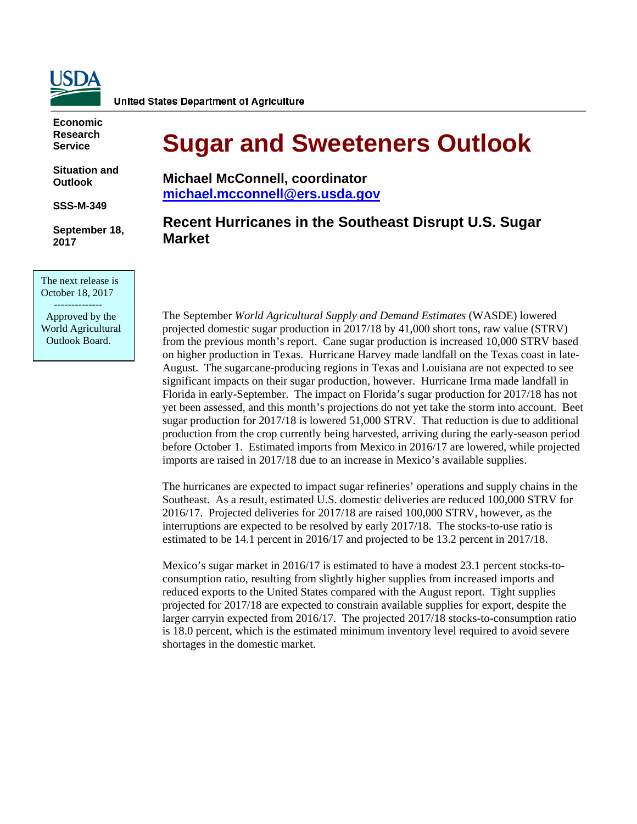

**Economic Research Service**

**Situation and Outlook** 

**SSS-M-349** 

**September 18, 2017** 

The next release is October 18, 2017 --------------

 Approved by the World Agricultural Outlook Board.

# **Sugar and Sweeteners Outlook**

**Michael McConnell, coordinator [michael.mcconnell@ers.usda.gov](mailto:michael.mcconnell@ers.usda.gov)**

# **Recent Hurricanes in the Southeast Disrupt U.S. Sugar Market**

The September *World Agricultural Supply and Demand Estimates* (WASDE) lowered projected domestic sugar production in 2017/18 by 41,000 short tons, raw value (STRV) from the previous month's report. Cane sugar production is increased 10,000 STRV based on higher production in Texas. Hurricane Harvey made landfall on the Texas coast in late-August. The sugarcane-producing regions in Texas and Louisiana are not expected to see significant impacts on their sugar production, however. Hurricane Irma made landfall in Florida in early-September. The impact on Florida's sugar production for 2017/18 has not yet been assessed, and this month's projections do not yet take the storm into account. Beet sugar production for 2017/18 is lowered 51,000 STRV. That reduction is due to additional production from the crop currently being harvested, arriving during the early-season period before October 1. Estimated imports from Mexico in 2016/17 are lowered, while projected imports are raised in 2017/18 due to an increase in Mexico's available supplies.

The hurricanes are expected to impact sugar refineries' operations and supply chains in the Southeast. As a result, estimated U.S. domestic deliveries are reduced 100,000 STRV for 2016/17. Projected deliveries for 2017/18 are raised 100,000 STRV, however, as the interruptions are expected to be resolved by early 2017/18. The stocks-to-use ratio is estimated to be 14.1 percent in 2016/17 and projected to be 13.2 percent in 2017/18.

Mexico's sugar market in 2016/17 is estimated to have a modest 23.1 percent stocks-toconsumption ratio, resulting from slightly higher supplies from increased imports and reduced exports to the United States compared with the August report. Tight supplies projected for 2017/18 are expected to constrain available supplies for export, despite the larger carryin expected from 2016/17. The projected 2017/18 stocks-to-consumption ratio is 18.0 percent, which is the estimated minimum inventory level required to avoid severe shortages in the domestic market.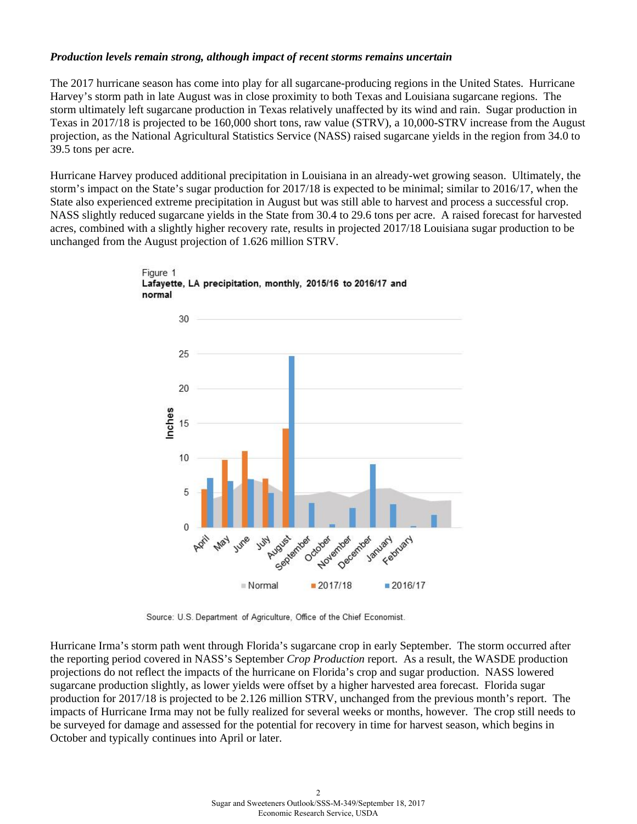## *Production levels remain strong, although impact of recent storms remains uncertain*

The 2017 hurricane season has come into play for all sugarcane-producing regions in the United States. Hurricane Harvey's storm path in late August was in close proximity to both Texas and Louisiana sugarcane regions. The storm ultimately left sugarcane production in Texas relatively unaffected by its wind and rain. Sugar production in Texas in 2017/18 is projected to be 160,000 short tons, raw value (STRV), a 10,000-STRV increase from the August projection, as the National Agricultural Statistics Service (NASS) raised sugarcane yields in the region from 34.0 to 39.5 tons per acre.

Hurricane Harvey produced additional precipitation in Louisiana in an already-wet growing season. Ultimately, the storm's impact on the State's sugar production for 2017/18 is expected to be minimal; similar to 2016/17, when the State also experienced extreme precipitation in August but was still able to harvest and process a successful crop. NASS slightly reduced sugarcane yields in the State from 30.4 to 29.6 tons per acre. A raised forecast for harvested acres, combined with a slightly higher recovery rate, results in projected 2017/18 Louisiana sugar production to be unchanged from the August projection of 1.626 million STRV.





Source: U.S. Department of Agriculture, Office of the Chief Economist.

Hurricane Irma's storm path went through Florida's sugarcane crop in early September. The storm occurred after the reporting period covered in NASS's September *Crop Production* report. As a result, the WASDE production projections do not reflect the impacts of the hurricane on Florida's crop and sugar production. NASS lowered sugarcane production slightly, as lower yields were offset by a higher harvested area forecast. Florida sugar production for 2017/18 is projected to be 2.126 million STRV, unchanged from the previous month's report. The impacts of Hurricane Irma may not be fully realized for several weeks or months, however. The crop still needs to be surveyed for damage and assessed for the potential for recovery in time for harvest season, which begins in October and typically continues into April or later.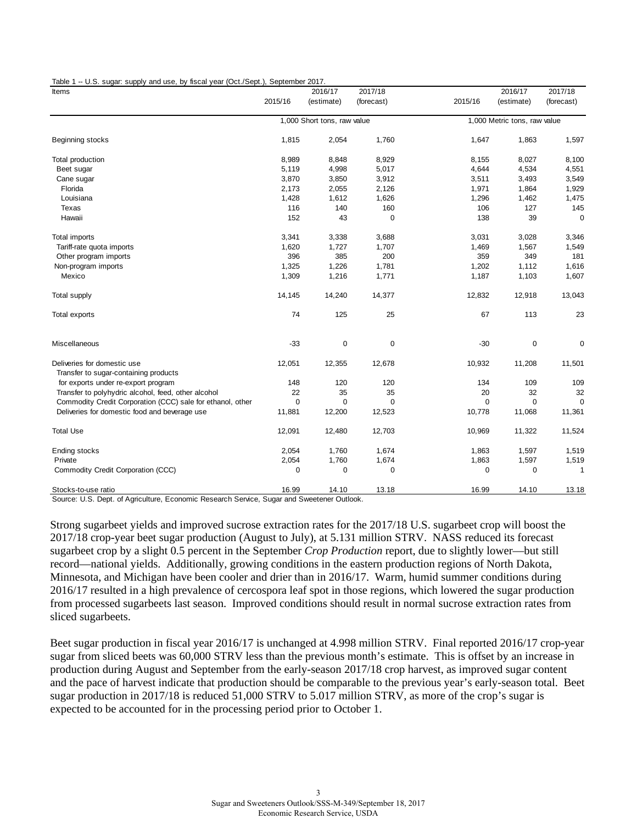Table 1 -- U.S. sugar: supply and use, by fiscal year (Oct./Sept.), September 2017.

| Items                                                                |                             | 2016/17    | 2017/18     |                              | 2016/17     | 2017/18      |
|----------------------------------------------------------------------|-----------------------------|------------|-------------|------------------------------|-------------|--------------|
|                                                                      | 2015/16                     | (estimate) | (forecast)  | 2015/16                      | (estimate)  | (forecast)   |
|                                                                      | 1,000 Short tons, raw value |            |             | 1,000 Metric tons, raw value |             |              |
| Beginning stocks                                                     | 1,815                       | 2,054      | 1,760       | 1,647                        | 1,863       | 1,597        |
| Total production                                                     | 8,989                       | 8,848      | 8,929       | 8,155                        | 8,027       | 8,100        |
| Beet sugar                                                           | 5,119                       | 4,998      | 5,017       | 4,644                        | 4,534       | 4,551        |
| Cane sugar                                                           | 3,870                       | 3,850      | 3,912       | 3,511                        | 3,493       | 3,549        |
| Florida                                                              | 2,173                       | 2,055      | 2,126       | 1,971                        | 1,864       | 1,929        |
| Louisiana                                                            | 1,428                       | 1,612      | 1,626       | 1,296                        | 1,462       | 1,475        |
| Texas                                                                | 116                         | 140        | 160         | 106                          | 127         | 145          |
| Hawaii                                                               | 152                         | 43         | $\mathbf 0$ | 138                          | 39          | $\mathbf 0$  |
| Total imports                                                        | 3,341                       | 3,338      | 3,688       | 3,031                        | 3,028       | 3,346        |
| Tariff-rate quota imports                                            | 1,620                       | 1,727      | 1,707       | 1,469                        | 1,567       | 1,549        |
| Other program imports                                                | 396                         | 385        | 200         | 359                          | 349         | 181          |
| Non-program imports                                                  | 1,325                       | 1,226      | 1,781       | 1,202                        | 1,112       | 1,616        |
| Mexico                                                               | 1,309                       | 1,216      | 1,771       | 1,187                        | 1,103       | 1,607        |
| <b>Total supply</b>                                                  | 14,145                      | 14,240     | 14,377      | 12,832                       | 12,918      | 13,043       |
| Total exports                                                        | 74                          | 125        | 25          | 67                           | 113         | 23           |
| Miscellaneous                                                        | $-33$                       | 0          | $\mathbf 0$ | $-30$                        | $\mathbf 0$ | $\mathbf 0$  |
| Deliveries for domestic use<br>Transfer to sugar-containing products | 12,051                      | 12,355     | 12,678      | 10,932                       | 11,208      | 11,501       |
| for exports under re-export program                                  | 148                         | 120        | 120         | 134                          | 109         | 109          |
| Transfer to polyhydric alcohol, feed, other alcohol                  | 22                          | 35         | 35          | 20                           | 32          | 32           |
| Commodity Credit Corporation (CCC) sale for ethanol, other           | $\mathbf 0$                 | 0          | $\Omega$    | $\mathbf 0$                  | $\mathbf 0$ | $\Omega$     |
| Deliveries for domestic food and beverage use                        | 11,881                      | 12,200     | 12,523      | 10,778                       | 11,068      | 11,361       |
| <b>Total Use</b>                                                     | 12,091                      | 12,480     | 12,703      | 10,969                       | 11,322      | 11,524       |
|                                                                      |                             |            |             |                              |             |              |
| Ending stocks                                                        | 2,054                       | 1,760      | 1,674       | 1,863                        | 1,597       | 1,519        |
| Private                                                              | 2,054                       | 1,760      | 1,674       | 1,863                        | 1,597       | 1,519        |
| Commodity Credit Corporation (CCC)                                   | 0                           | 0          | $\mathbf 0$ | $\Omega$                     | $\mathbf 0$ | $\mathbf{1}$ |
| Stocks-to-use ratio                                                  | 16.99                       | 14.10      | 13.18       | 16.99                        | 14.10       | 13.18        |

Source: U.S. Dept. of Agriculture, Economic Research Service, Sugar and Sweetener Outlook.

Strong sugarbeet yields and improved sucrose extraction rates for the 2017/18 U.S. sugarbeet crop will boost the 2017/18 crop-year beet sugar production (August to July), at 5.131 million STRV. NASS reduced its forecast sugarbeet crop by a slight 0.5 percent in the September *Crop Production* report, due to slightly lower—but still record—national yields. Additionally, growing conditions in the eastern production regions of North Dakota, Minnesota, and Michigan have been cooler and drier than in 2016/17. Warm, humid summer conditions during 2016/17 resulted in a high prevalence of cercospora leaf spot in those regions, which lowered the sugar production from processed sugarbeets last season. Improved conditions should result in normal sucrose extraction rates from sliced sugarbeets.

Beet sugar production in fiscal year 2016/17 is unchanged at 4.998 million STRV. Final reported 2016/17 crop-year sugar from sliced beets was 60,000 STRV less than the previous month's estimate. This is offset by an increase in production during August and September from the early-season 2017/18 crop harvest, as improved sugar content and the pace of harvest indicate that production should be comparable to the previous year's early-season total. Beet sugar production in 2017/18 is reduced 51,000 STRV to 5.017 million STRV, as more of the crop's sugar is expected to be accounted for in the processing period prior to October 1.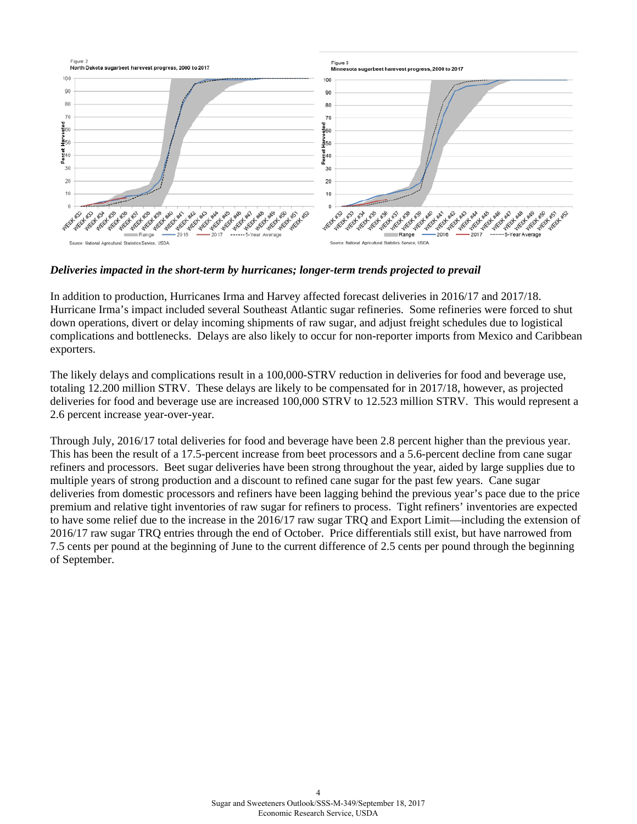

*Deliveries impacted in the short-term by hurricanes; longer-term trends projected to prevail*

In addition to production, Hurricanes Irma and Harvey affected forecast deliveries in 2016/17 and 2017/18. Hurricane Irma's impact included several Southeast Atlantic sugar refineries. Some refineries were forced to shut down operations, divert or delay incoming shipments of raw sugar, and adjust freight schedules due to logistical complications and bottlenecks. Delays are also likely to occur for non-reporter imports from Mexico and Caribbean exporters.

The likely delays and complications result in a 100,000-STRV reduction in deliveries for food and beverage use, totaling 12.200 million STRV. These delays are likely to be compensated for in 2017/18, however, as projected deliveries for food and beverage use are increased 100,000 STRV to 12.523 million STRV. This would represent a 2.6 percent increase year-over-year.

Through July, 2016/17 total deliveries for food and beverage have been 2.8 percent higher than the previous year. This has been the result of a 17.5-percent increase from beet processors and a 5.6-percent decline from cane sugar refiners and processors. Beet sugar deliveries have been strong throughout the year, aided by large supplies due to multiple years of strong production and a discount to refined cane sugar for the past few years. Cane sugar deliveries from domestic processors and refiners have been lagging behind the previous year's pace due to the price premium and relative tight inventories of raw sugar for refiners to process. Tight refiners' inventories are expected to have some relief due to the increase in the 2016/17 raw sugar TRQ and Export Limit—including the extension of 2016/17 raw sugar TRQ entries through the end of October. Price differentials still exist, but have narrowed from 7.5 cents per pound at the beginning of June to the current difference of 2.5 cents per pound through the beginning of September.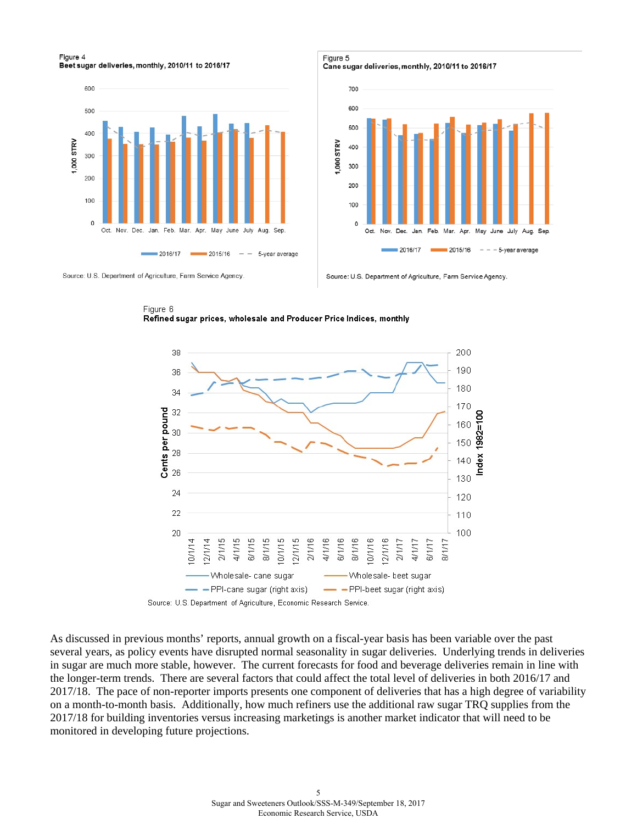#### Figure 4 Beet sugar deliveries, monthly, 2010/11 to 2016/17



Figure 5 Cane sugar deliveries, monthly, 2010/11 to 2016/17



Source: U.S. Department of Agriculture, Farm Service Agency

Source: U.S. Department of Agriculture, Farm Service Agency.





Source: U.S. Department of Agriculture, Economic Research Service.

As discussed in previous months' reports, annual growth on a fiscal-year basis has been variable over the past several years, as policy events have disrupted normal seasonality in sugar deliveries. Underlying trends in deliveries in sugar are much more stable, however. The current forecasts for food and beverage deliveries remain in line with the longer-term trends. There are several factors that could affect the total level of deliveries in both 2016/17 and 2017/18. The pace of non-reporter imports presents one component of deliveries that has a high degree of variability on a month-to-month basis. Additionally, how much refiners use the additional raw sugar TRQ supplies from the 2017/18 for building inventories versus increasing marketings is another market indicator that will need to be monitored in developing future projections.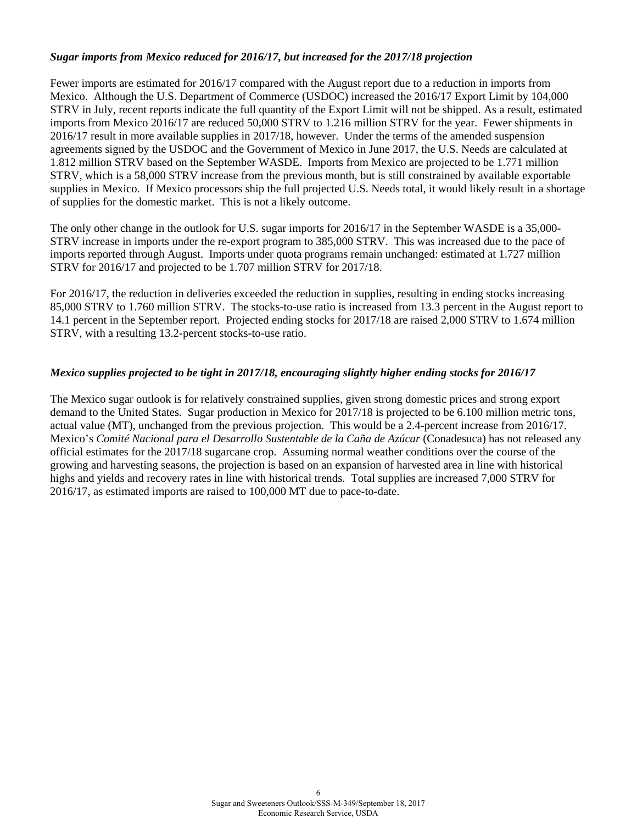# *Sugar imports from Mexico reduced for 2016/17, but increased for the 2017/18 projection*

Fewer imports are estimated for 2016/17 compared with the August report due to a reduction in imports from Mexico. Although the U.S. Department of Commerce (USDOC) increased the 2016/17 Export Limit by 104,000 STRV in July, recent reports indicate the full quantity of the Export Limit will not be shipped. As a result, estimated imports from Mexico 2016/17 are reduced 50,000 STRV to 1.216 million STRV for the year. Fewer shipments in 2016/17 result in more available supplies in 2017/18, however. Under the terms of the amended suspension agreements signed by the USDOC and the Government of Mexico in June 2017, the U.S. Needs are calculated at 1.812 million STRV based on the September WASDE. Imports from Mexico are projected to be 1.771 million STRV, which is a 58,000 STRV increase from the previous month, but is still constrained by available exportable supplies in Mexico. If Mexico processors ship the full projected U.S. Needs total, it would likely result in a shortage of supplies for the domestic market. This is not a likely outcome.

The only other change in the outlook for U.S. sugar imports for 2016/17 in the September WASDE is a 35,000- STRV increase in imports under the re-export program to 385,000 STRV. This was increased due to the pace of imports reported through August. Imports under quota programs remain unchanged: estimated at 1.727 million STRV for 2016/17 and projected to be 1.707 million STRV for 2017/18.

For 2016/17, the reduction in deliveries exceeded the reduction in supplies, resulting in ending stocks increasing 85,000 STRV to 1.760 million STRV. The stocks-to-use ratio is increased from 13.3 percent in the August report to 14.1 percent in the September report. Projected ending stocks for 2017/18 are raised 2,000 STRV to 1.674 million STRV, with a resulting 13.2-percent stocks-to-use ratio.

# *Mexico supplies projected to be tight in 2017/18, encouraging slightly higher ending stocks for 2016/17*

The Mexico sugar outlook is for relatively constrained supplies, given strong domestic prices and strong export demand to the United States. Sugar production in Mexico for 2017/18 is projected to be 6.100 million metric tons, actual value (MT), unchanged from the previous projection. This would be a 2.4-percent increase from 2016/17. Mexico's *Comité Nacional para el Desarrollo Sustentable de la Caña de Azúcar* (Conadesuca) has not released any official estimates for the 2017/18 sugarcane crop. Assuming normal weather conditions over the course of the growing and harvesting seasons, the projection is based on an expansion of harvested area in line with historical highs and yields and recovery rates in line with historical trends. Total supplies are increased 7,000 STRV for 2016/17, as estimated imports are raised to 100,000 MT due to pace-to-date.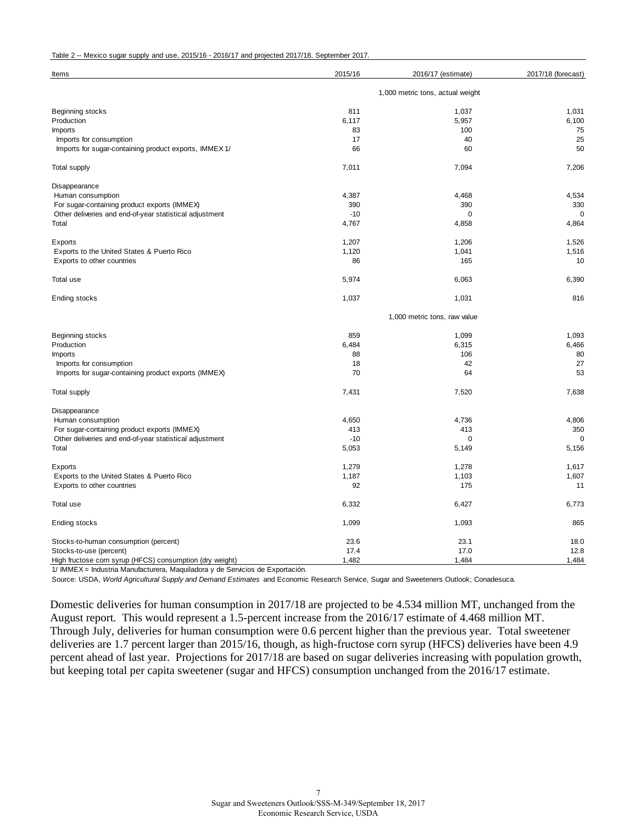| Table 2 -- Mexico sugar supply and use, 2015/16 - 2016/17 and projected 2017/18, September 2017. |  |  |
|--------------------------------------------------------------------------------------------------|--|--|
|--------------------------------------------------------------------------------------------------|--|--|

| Items                                                    | 2015/16                          | 2016/17 (estimate) | 2017/18 (forecast) |  |  |
|----------------------------------------------------------|----------------------------------|--------------------|--------------------|--|--|
|                                                          | 1,000 metric tons, actual weight |                    |                    |  |  |
| Beginning stocks                                         | 811                              | 1,037              | 1,031              |  |  |
| Production                                               | 6,117                            | 5,957              | 6,100              |  |  |
| Imports                                                  | 83                               | 100                | 75                 |  |  |
| Imports for consumption                                  | 17                               | 40                 | 25                 |  |  |
| Imports for sugar-containing product exports, IMMEX 1/   | 66                               | 60                 | 50                 |  |  |
| <b>Total supply</b>                                      | 7,011                            | 7,094              | 7,206              |  |  |
| Disappearance                                            |                                  |                    |                    |  |  |
| Human consumption                                        | 4,387                            | 4,468              | 4,534              |  |  |
| For sugar-containing product exports (IMMEX)             | 390                              | 390                | 330                |  |  |
| Other deliveries and end-of-year statistical adjustment  | $-10$                            | 0                  | 0                  |  |  |
| Total                                                    | 4,767                            | 4,858              | 4,864              |  |  |
| Exports                                                  | 1,207                            | 1,206              | 1,526              |  |  |
| Exports to the United States & Puerto Rico               | 1,120                            | 1,041              | 1,516              |  |  |
| Exports to other countries                               | 86                               | 165                | 10                 |  |  |
| Total use                                                | 5,974                            | 6,063              | 6,390              |  |  |
| Ending stocks                                            | 1,037                            | 1,031              | 816                |  |  |
|                                                          | 1,000 metric tons, raw value     |                    |                    |  |  |
| Beginning stocks                                         | 859                              | 1,099              | 1,093              |  |  |
| Production                                               | 6,484                            | 6,315              | 6,466              |  |  |
| <b>Imports</b>                                           | 88                               | 106                | 80                 |  |  |
| Imports for consumption                                  | 18                               | 42                 | 27                 |  |  |
| Imports for sugar-containing product exports (IMMEX)     | 70                               | 64                 | 53                 |  |  |
| <b>Total supply</b>                                      | 7,431                            | 7,520              | 7,638              |  |  |
| Disappearance                                            |                                  |                    |                    |  |  |
| Human consumption                                        | 4,650                            | 4,736              | 4,806              |  |  |
| For sugar-containing product exports (IMMEX)             | 413                              | 413                | 350                |  |  |
| Other deliveries and end-of-year statistical adjustment  | $-10$                            | $\mathbf 0$        | $\mathbf 0$        |  |  |
| Total                                                    | 5,053                            | 5,149              | 5,156              |  |  |
| Exports                                                  | 1,279                            | 1,278              | 1,617              |  |  |
| Exports to the United States & Puerto Rico               | 1,187                            | 1,103              | 1,607              |  |  |
| Exports to other countries                               | 92                               | 175                | 11                 |  |  |
| Total use                                                | 6,332                            | 6,427              | 6,773              |  |  |
| Ending stocks                                            | 1,099                            | 1,093              | 865                |  |  |
| Stocks-to-human consumption (percent)                    | 23.6                             | 23.1               | 18.0               |  |  |
| Stocks-to-use (percent)                                  | 17.4                             | 17.0               | 12.8               |  |  |
| High fructose corn syrup (HFCS) consumption (dry weight) | 1,482                            | 1,484              | 1,484              |  |  |

1/ IMMEX = Industria Manufacturera, Maquiladora y de Servicios de Exportación.

Source: USDA, *World Agricultural Supply and Demand Estimates* and Economic Research Service, Sugar and Sweeteners Outlook; Conadesuca.

Domestic deliveries for human consumption in 2017/18 are projected to be 4.534 million MT, unchanged from the August report. This would represent a 1.5-percent increase from the 2016/17 estimate of 4.468 million MT. Through July, deliveries for human consumption were 0.6 percent higher than the previous year. Total sweetener deliveries are 1.7 percent larger than 2015/16, though, as high-fructose corn syrup (HFCS) deliveries have been 4.9 percent ahead of last year. Projections for 2017/18 are based on sugar deliveries increasing with population growth, but keeping total per capita sweetener (sugar and HFCS) consumption unchanged from the 2016/17 estimate.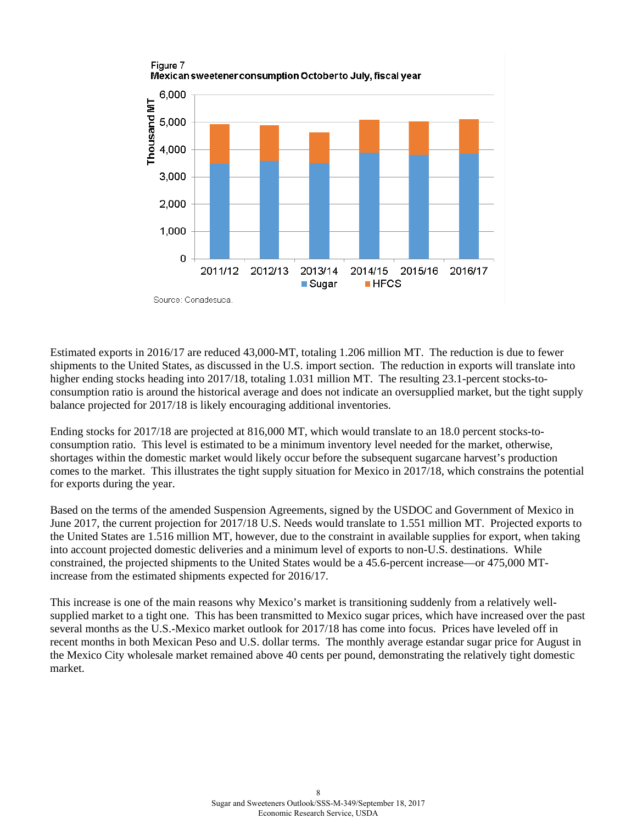

Estimated exports in 2016/17 are reduced 43,000-MT, totaling 1.206 million MT. The reduction is due to fewer shipments to the United States, as discussed in the U.S. import section. The reduction in exports will translate into higher ending stocks heading into 2017/18, totaling 1.031 million MT. The resulting 23.1-percent stocks-toconsumption ratio is around the historical average and does not indicate an oversupplied market, but the tight supply balance projected for 2017/18 is likely encouraging additional inventories.

Ending stocks for 2017/18 are projected at 816,000 MT, which would translate to an 18.0 percent stocks-toconsumption ratio. This level is estimated to be a minimum inventory level needed for the market, otherwise, shortages within the domestic market would likely occur before the subsequent sugarcane harvest's production comes to the market. This illustrates the tight supply situation for Mexico in 2017/18, which constrains the potential for exports during the year.

Based on the terms of the amended Suspension Agreements, signed by the USDOC and Government of Mexico in June 2017, the current projection for 2017/18 U.S. Needs would translate to 1.551 million MT. Projected exports to the United States are 1.516 million MT, however, due to the constraint in available supplies for export, when taking into account projected domestic deliveries and a minimum level of exports to non-U.S. destinations. While constrained, the projected shipments to the United States would be a 45.6-percent increase—or 475,000 MTincrease from the estimated shipments expected for 2016/17.

This increase is one of the main reasons why Mexico's market is transitioning suddenly from a relatively wellsupplied market to a tight one. This has been transmitted to Mexico sugar prices, which have increased over the past several months as the U.S.-Mexico market outlook for 2017/18 has come into focus. Prices have leveled off in recent months in both Mexican Peso and U.S. dollar terms. The monthly average estandar sugar price for August in the Mexico City wholesale market remained above 40 cents per pound, demonstrating the relatively tight domestic market.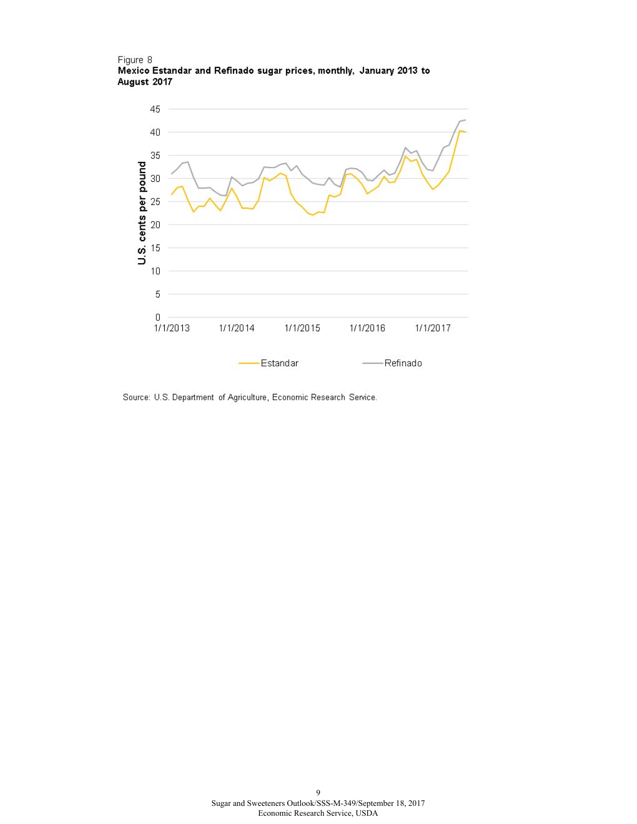#### Figure 8 Mexico Estandar and Refinado sugar prices, monthly, January 2013 to August 2017



Source: U.S. Department of Agriculture, Economic Research Service.